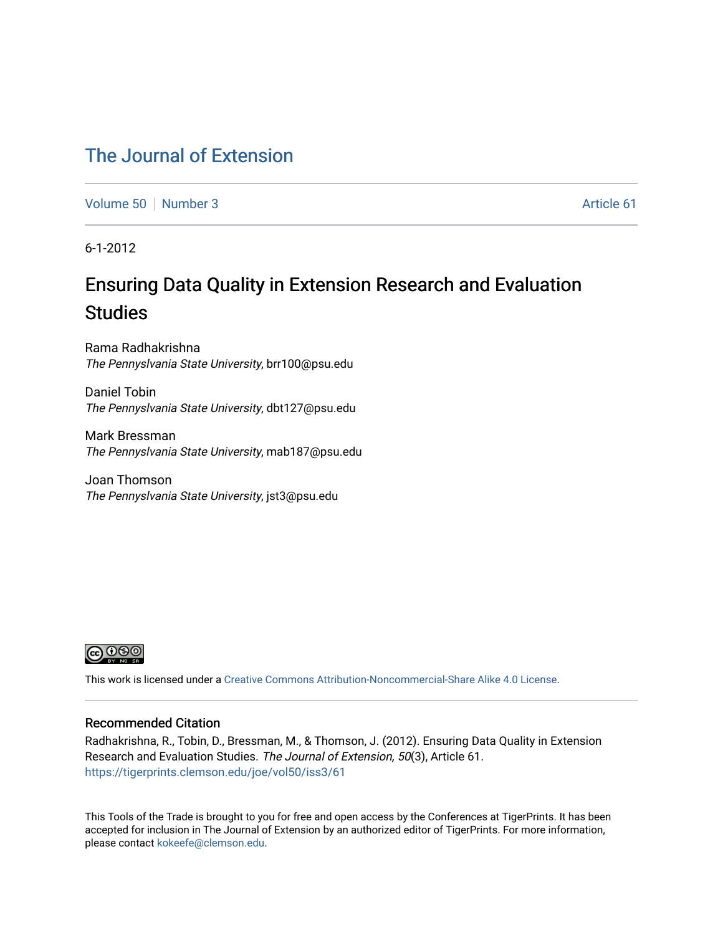## [The Journal of Extension](https://tigerprints.clemson.edu/joe)

[Volume 50](https://tigerprints.clemson.edu/joe/vol50) [Number 3](https://tigerprints.clemson.edu/joe/vol50/iss3) Article 61

6-1-2012

# Ensuring Data Quality in Extension Research and Evaluation **Studies**

Rama Radhakrishna The Pennyslvania State University, brr100@psu.edu

Daniel Tobin The Pennyslvania State University, dbt127@psu.edu

Mark Bressman The Pennyslvania State University, mab187@psu.edu

Joan Thomson The Pennyslvania State University, jst3@psu.edu



This work is licensed under a [Creative Commons Attribution-Noncommercial-Share Alike 4.0 License.](https://creativecommons.org/licenses/by-nc-sa/4.0/)

## Recommended Citation

Radhakrishna, R., Tobin, D., Bressman, M., & Thomson, J. (2012). Ensuring Data Quality in Extension Research and Evaluation Studies. The Journal of Extension, 50(3), Article 61. <https://tigerprints.clemson.edu/joe/vol50/iss3/61>

This Tools of the Trade is brought to you for free and open access by the Conferences at TigerPrints. It has been accepted for inclusion in The Journal of Extension by an authorized editor of TigerPrints. For more information, please contact [kokeefe@clemson.edu](mailto:kokeefe@clemson.edu).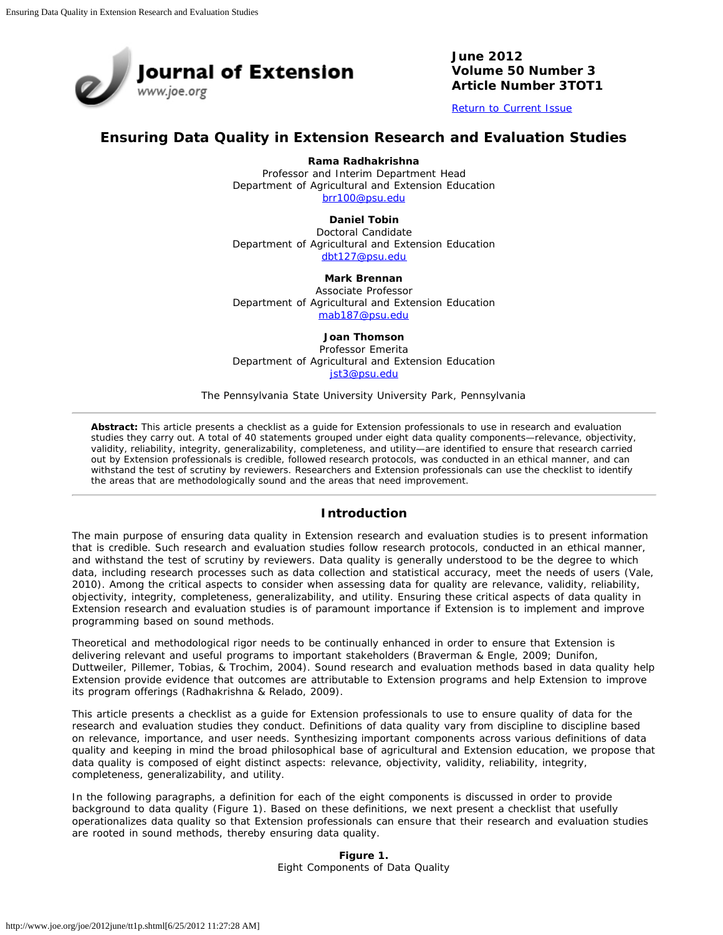

**June 2012 Volume 50 Number 3 Article Number 3TOT1**

[Return to Current Issue](http://www.joe.org/joe/2012june/)

## **Ensuring Data Quality in Extension Research and Evaluation Studies**

**Rama Radhakrishna**

Professor and Interim Department Head Department of Agricultural and Extension Education [brr100@psu.edu](mailto:brr100@psu.edu)

> **Daniel Tobin** Doctoral Candidate

Department of Agricultural and Extension Education [dbt127@psu.edu](mailto:dbt127@psu.edu)

#### **Mark Brennan**

Associate Professor Department of Agricultural and Extension Education [mab187@psu.edu](mailto:mab187@psu.edu)

#### **Joan Thomson**

Professor Emerita Department of Agricultural and Extension Education [jst3@psu.edu](mailto:jst3@psu.edu)

The Pennsylvania State University University Park, Pennsylvania

*Abstract: This article presents a checklist as a guide for Extension professionals to use in research and evaluation studies they carry out. A total of 40 statements grouped under eight data quality components—relevance, objectivity, validity, reliability, integrity, generalizability, completeness, and utility—are identified to ensure that research carried out by Extension professionals is credible, followed research protocols, was conducted in an ethical manner, and can withstand the test of scrutiny by reviewers. Researchers and Extension professionals can use the checklist to identify the areas that are methodologically sound and the areas that need improvement.*

### **Introduction**

The main purpose of ensuring data quality in Extension research and evaluation studies is to present information that is credible. Such research and evaluation studies follow research protocols, conducted in an ethical manner, and withstand the test of scrutiny by reviewers. Data quality is generally understood to be the degree to which data, including research processes such as data collection and statistical accuracy, meet the needs of users (Vale, 2010). Among the critical aspects to consider when assessing data for quality are relevance, validity, reliability, objectivity, integrity, completeness, generalizability, and utility. Ensuring these critical aspects of data quality in Extension research and evaluation studies is of paramount importance if Extension is to implement and improve programming based on sound methods.

Theoretical and methodological rigor needs to be continually enhanced in order to ensure that Extension is delivering relevant and useful programs to important stakeholders (Braverman & Engle, 2009; Dunifon, Duttweiler, Pillemer, Tobias, & Trochim, 2004). Sound research and evaluation methods based in data quality help Extension provide evidence that outcomes are attributable to Extension programs and help Extension to improve its program offerings (Radhakrishna & Relado, 2009).

This article presents a checklist as a guide for Extension professionals to use to ensure quality of data for the research and evaluation studies they conduct. Definitions of data quality vary from discipline to discipline based on relevance, importance, and user needs. Synthesizing important components across various definitions of data quality and keeping in mind the broad philosophical base of agricultural and Extension education, we propose that data quality is composed of eight distinct aspects: relevance, objectivity, validity, reliability, integrity, completeness, generalizability, and utility.

In the following paragraphs, a definition for each of the eight components is discussed in order to provide background to data quality (Figure 1). Based on these definitions, we next present a checklist that usefully operationalizes data quality so that Extension professionals can ensure that their research and evaluation studies are rooted in sound methods, thereby ensuring data quality.

> **Figure 1.** Eight Components of Data Quality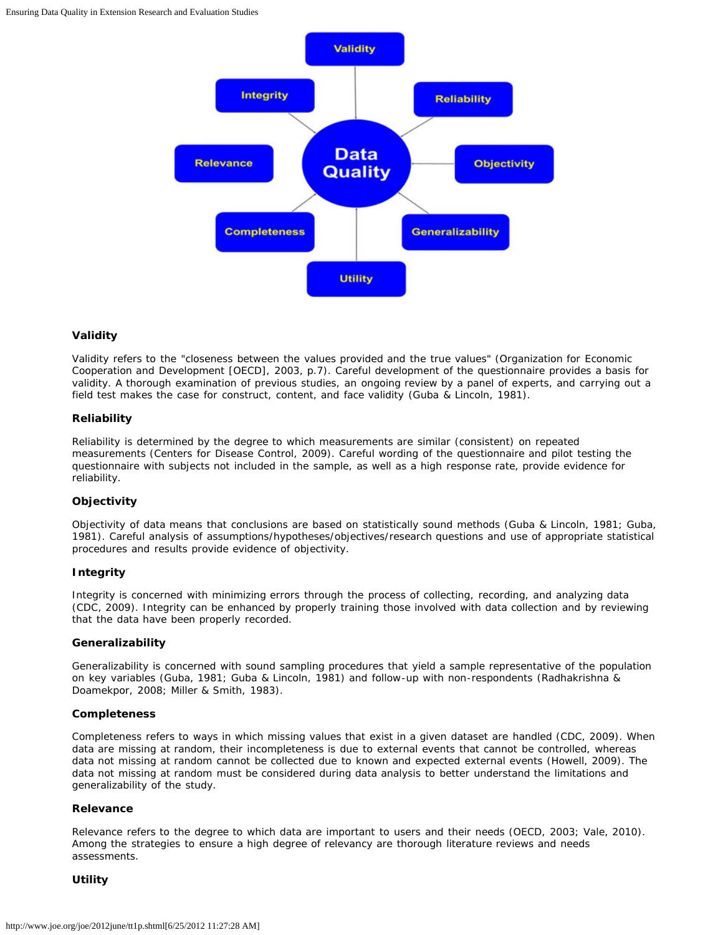

#### **Validity**

Validity refers to the "closeness between the values provided and the true values" (Organization for Economic Cooperation and Development [OECD], 2003, p.7). Careful development of the questionnaire provides a basis for validity. A thorough examination of previous studies, an ongoing review by a panel of experts, and carrying out a field test makes the case for construct, content, and face validity (Guba & Lincoln, 1981).

#### **Reliability**

Reliability is determined by the degree to which measurements are similar (consistent) on repeated measurements (Centers for Disease Control, 2009). Careful wording of the questionnaire and pilot testing the questionnaire with subjects not included in the sample, as well as a high response rate, provide evidence for reliability.

#### **Objectivity**

Objectivity of data means that conclusions are based on statistically sound methods (Guba & Lincoln, 1981; Guba, 1981). Careful analysis of assumptions/hypotheses/objectives/research questions and use of appropriate statistical procedures and results provide evidence of objectivity.

#### **Integrity**

Integrity is concerned with minimizing errors through the process of collecting, recording, and analyzing data (CDC, 2009). Integrity can be enhanced by properly training those involved with data collection and by reviewing that the data have been properly recorded.

#### **Generalizability**

Generalizability is concerned with sound sampling procedures that yield a sample representative of the population on key variables (Guba, 1981; Guba & Lincoln, 1981) and follow-up with non-respondents (Radhakrishna & Doamekpor, 2008; Miller & Smith, 1983).

#### **Completeness**

Completeness refers to ways in which missing values that exist in a given dataset are handled (CDC, 2009). When data are missing at random, their incompleteness is due to external events that cannot be controlled, whereas data not missing at random cannot be collected due to known and expected external events (Howell, 2009). The data not missing at random must be considered during data analysis to better understand the limitations and generalizability of the study.

#### **Relevance**

Relevance refers to the degree to which data are important to users and their needs (OECD, 2003; Vale, 2010). Among the strategies to ensure a high degree of relevancy are thorough literature reviews and needs assessments.

#### **Utility**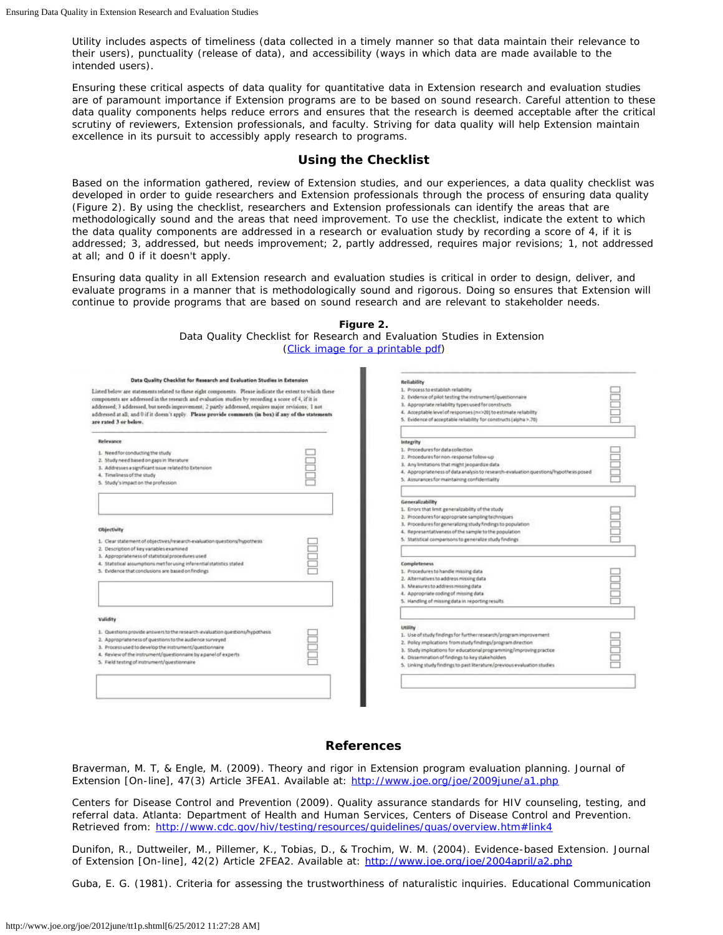Utility includes aspects of timeliness (data collected in a timely manner so that data maintain their relevance to their users), punctuality (release of data), and accessibility (ways in which data are made available to the intended users).

Ensuring these critical aspects of data quality for quantitative data in Extension research and evaluation studies are of paramount importance if Extension programs are to be based on sound research. Careful attention to these data quality components helps reduce errors and ensures that the research is deemed acceptable after the critical scrutiny of reviewers, Extension professionals, and faculty. Striving for data quality will help Extension maintain excellence in its pursuit to accessibly apply research to programs.

## **Using the Checklist**

Based on the information gathered, review of Extension studies, and our experiences, a data quality checklist was developed in order to guide researchers and Extension professionals through the process of ensuring data quality (Figure 2). By using the checklist, researchers and Extension professionals can identify the areas that are methodologically sound and the areas that need improvement. To use the checklist, indicate the extent to which the data quality components are addressed in a research or evaluation study by recording a score of 4, if it is addressed; 3, addressed, but needs improvement; 2, partly addressed, requires major revisions; 1, not addressed at all; and 0 if it doesn't apply.

Ensuring data quality in all Extension research and evaluation studies is critical in order to design, deliver, and evaluate programs in a manner that is methodologically sound and rigorous. Doing so ensures that Extension will continue to provide programs that are based on sound research and are relevant to stakeholder needs.

**Figure 2.**

| Data Quality Checklist for Research and Evaluation Studies in Extension                                                                                                                                                                                                                                                                                                                                                                                  |  | Reliability                                                                                                                                                                                                                                                                                                                                          |  |
|----------------------------------------------------------------------------------------------------------------------------------------------------------------------------------------------------------------------------------------------------------------------------------------------------------------------------------------------------------------------------------------------------------------------------------------------------------|--|------------------------------------------------------------------------------------------------------------------------------------------------------------------------------------------------------------------------------------------------------------------------------------------------------------------------------------------------------|--|
| Listed below are statements related to these eight components. Please indicate the extent to which these<br>components are addressed in the research and evaluation studies by recording a score of 4, if it is<br>addressed; 3 addressed, but needs improvement; 2 partly addressed, requires major revisions; 1 not<br>addressed at all; and 0 if it doesn't apply. Please provide comments (in box) if any of the statements<br>are rated 3 or below. |  | 1. Process to establish reliability<br>2. Evidence of pilot testing the instrument/questionnaire<br>3. Appropriate relability types used for constructs<br>4. Acceptable level of responses (n=>20) to estimate reliability<br>5. Evidence of acceptable reliability for constructs (alpha >.70)                                                     |  |
| Relevance<br>1. Needfor conducting the study<br>2. Study need based on gaps in literature<br>3. Addresses a significant issue related to Extension<br>4. Timeliness of the study<br>5. Study's impact on the profession                                                                                                                                                                                                                                  |  | <b>tritegrity</b><br>1. Procedures for data collection<br>2. Procedures for non-response follow-up<br>3. Any limitations that might jeopardize data<br>4. Appropriateness of data analysis to research-evaluation questions/hypothesis posed<br>5. Assurances for maintaining confidentiality                                                        |  |
| <b>Objectivity</b><br>1. Clear statement of objectives/research-evaluation questions/hypothesis<br>2. Description of key variables examined                                                                                                                                                                                                                                                                                                              |  | Generalizability<br>1. Errors that limit generalizability of the study<br>2. Procedures for appropriate sampling techniques<br>3. Procedures for generalizing study findings to population<br>4. Representativeness of the sample to the population<br>5. Statistical comparisons to generalize study findings.                                      |  |
| 3. Appropriateness of statistical procedures used<br>4. Statistical assumptions met for using inferential statistics stated<br>5. Evidence that conclusions are based on findings                                                                                                                                                                                                                                                                        |  | Completeness<br>1. Procedures to handle missing data<br>2. Alternatives to address missing data<br>3. Measures to address missing data<br>4. Appropriate coding of missing data<br>5. Handling of missing data in reporting results.                                                                                                                 |  |
| Validity<br>1. Questions provide answers to the research-evaluation questions/hypothesis<br>2. Appropriateness of questions to the audience surveyed<br>3. Process used to develop the instrument/questionnaire<br>4. Review of the instrument/questionnaire by a panel of experts<br>5. Field testing of instrument/questionnaire                                                                                                                       |  | utility<br>1. Use of study findings for further research/program improvement<br>2. Policy implications from study findings/program direction<br>3. Study implications for educational programming/improving practice<br>4. Dissemination of findings to key stakeholders<br>5. Linking study findings to past literature/previous evaluation studies |  |

## **References**

Braverman, M. T, & Engle, M. (2009). Theory and rigor in Extension program evaluation planning. *Journal of Extension* [On-line], 47(3) Article 3FEA1. Available at: <http://www.joe.org/joe/2009june/a1.php>

Centers for Disease Control and Prevention (2009). *Quality assurance standards for HIV counseling, testing, and referral data*. Atlanta: Department of Health and Human Services, Centers of Disease Control and Prevention. Retrieved from: <http://www.cdc.gov/hiv/testing/resources/guidelines/quas/overview.htm#link4>

Dunifon, R., Duttweiler, M., Pillemer, K., Tobias, D., & Trochim, W. M. (2004). Evidence-based Extension. *Journal of Extension* [On-line], 42(2) Article 2FEA2. Available at: <http://www.joe.org/joe/2004april/a2.php>

Guba, E. G. (1981). Criteria for assessing the trustworthiness of naturalistic inquiries. *Educational Communication*